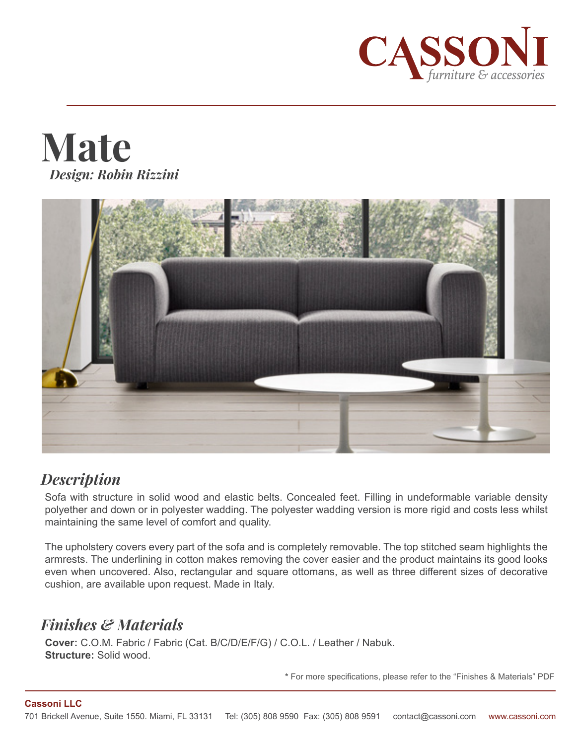





# *Description*

Sofa with structure in solid wood and elastic belts. Concealed feet. Filling in undeformable variable density polyether and down or in polyester wadding. The polyester wadding version is more rigid and costs less whilst maintaining the same level of comfort and quality.

The upholstery covers every part of the sofa and is completely removable. The top stitched seam highlights the armrests. The underlining in cotton makes removing the cover easier and the product maintains its good looks even when uncovered. Also, rectangular and square ottomans, as well as three different sizes of decorative cushion, are available upon request. Made in Italy.

# *Finishes & Materials*

**Cover:** C.O.M. Fabric / Fabric (Cat. B/C/D/E/F/G) / C.O.L. / Leather / Nabuk. **Structure:** Solid wood.

**\*** For more specifications, please refer to the "Finishes & Materials" PDF

### **Cassoni LLC**